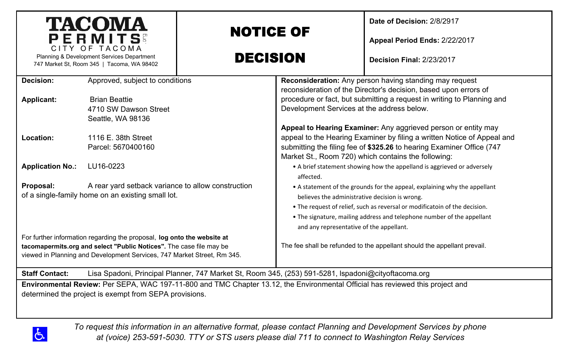| <b>TACOMA</b><br>PERMITS<br>CITY OF TACOMA                                                                                                                                                                                 |                                                                    | <b>NOTICE OF</b>                                                                                                                                                                                                                                    |                                                                                                                                                                                                                                                                                                                                 | Date of Decision: 2/8/2917<br>Appeal Period Ends: 2/22/2017             |  |
|----------------------------------------------------------------------------------------------------------------------------------------------------------------------------------------------------------------------------|--------------------------------------------------------------------|-----------------------------------------------------------------------------------------------------------------------------------------------------------------------------------------------------------------------------------------------------|---------------------------------------------------------------------------------------------------------------------------------------------------------------------------------------------------------------------------------------------------------------------------------------------------------------------------------|-------------------------------------------------------------------------|--|
| Planning & Development Services Department<br>747 Market St, Room 345   Tacoma, WA 98402                                                                                                                                   |                                                                    | <b>DECISION</b>                                                                                                                                                                                                                                     |                                                                                                                                                                                                                                                                                                                                 | <b>Decision Final: 2/23/2017</b>                                        |  |
| Decision:                                                                                                                                                                                                                  | Approved, subject to conditions                                    | Reconsideration: Any person having standing may request<br>reconsideration of the Director's decision, based upon errors of<br>procedure or fact, but submitting a request in writing to Planning and<br>Development Services at the address below. |                                                                                                                                                                                                                                                                                                                                 |                                                                         |  |
| Applicant:                                                                                                                                                                                                                 | <b>Brian Beattie</b><br>4710 SW Dawson Street<br>Seattle, WA 98136 |                                                                                                                                                                                                                                                     |                                                                                                                                                                                                                                                                                                                                 |                                                                         |  |
| Location:                                                                                                                                                                                                                  | 1116 E. 38th Street<br>Parcel: 5670400160                          |                                                                                                                                                                                                                                                     | Appeal to Hearing Examiner: Any aggrieved person or entity may<br>appeal to the Hearing Examiner by filing a written Notice of Appeal and<br>submitting the filing fee of \$325.26 to hearing Examiner Office (747<br>Market St., Room 720) which contains the following:                                                       |                                                                         |  |
| <b>Application No.:</b>                                                                                                                                                                                                    | LU16-0223                                                          |                                                                                                                                                                                                                                                     | affected.                                                                                                                                                                                                                                                                                                                       | • A brief statement showing how the appelland is aggrieved or adversely |  |
| Proposal:<br>A rear yard setback variance to allow construction<br>of a single-family home on an existing small lot.                                                                                                       |                                                                    |                                                                                                                                                                                                                                                     | • A statement of the grounds for the appeal, explaining why the appellant<br>believes the administrative decision is wrong.<br>. The request of relief, such as reversal or modificatoin of the decision.<br>. The signature, mailing address and telephone number of the appellant<br>and any representative of the appellant. |                                                                         |  |
| For further information regarding the proposal, log onto the website at<br>tacomapermits.org and select "Public Notices". The case file may be<br>viewed in Planning and Development Services, 747 Market Street, Rm 345.  |                                                                    |                                                                                                                                                                                                                                                     | The fee shall be refunded to the appellant should the appellant prevail.                                                                                                                                                                                                                                                        |                                                                         |  |
| Lisa Spadoni, Principal Planner, 747 Market St, Room 345, (253) 591-5281, Ispadoni@cityoftacoma.org<br><b>Staff Contact:</b>                                                                                               |                                                                    |                                                                                                                                                                                                                                                     |                                                                                                                                                                                                                                                                                                                                 |                                                                         |  |
| Environmental Review: Per SEPA, WAC 197-11-800 and TMC Chapter 13.12, the Environmental Official has reviewed this project and<br>determined the project is exempt from SEPA provisions.                                   |                                                                    |                                                                                                                                                                                                                                                     |                                                                                                                                                                                                                                                                                                                                 |                                                                         |  |
| To request this information in an alternative format, please contact Planning and Development Services by phone<br>රා<br>at (voice) 253-591-5030. TTY or STS users please dial 711 to connect to Washington Relay Services |                                                                    |                                                                                                                                                                                                                                                     |                                                                                                                                                                                                                                                                                                                                 |                                                                         |  |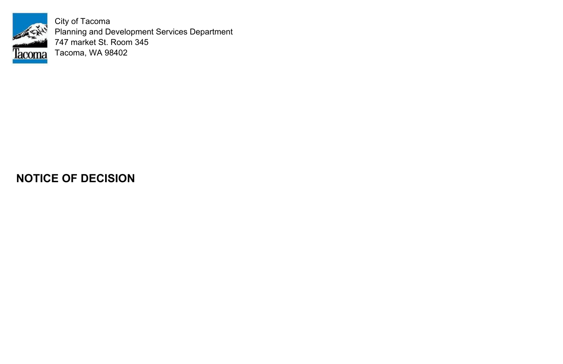

City of Tacoma Planning and Development Services Department 747 market St. Room 345 Tacoma, WA 98402

# **NOTICE OF DECISION**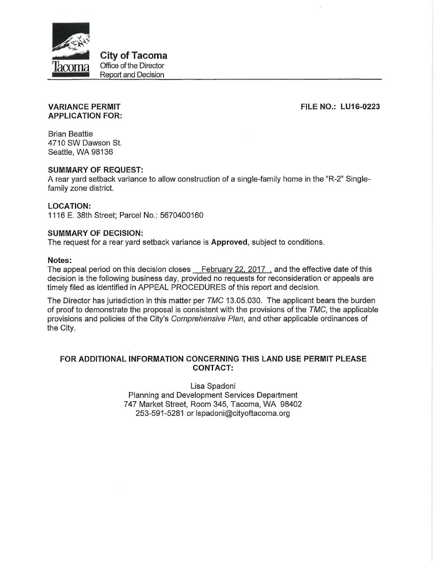

**City of Tacoma** Office of the Director Report and Decision

## **FILE NO.: LU16-0223**

#### **VARIANCE PERMIT APPLICATION FOR:**

**Brian Beattie** 4710 SW Dawson St. Seattle, WA 98136

#### **SUMMARY OF REQUEST:**

A rear yard setback variance to allow construction of a single-family home in the "R-2" Singlefamily zone district.

## **LOCATION:**

1116 E. 38th Street; Parcel No.: 5670400160

#### **SUMMARY OF DECISION:**

The request for a rear yard setback variance is Approved, subject to conditions.

#### Notes:

The appeal period on this decision closes February 22, 2017, and the effective date of this decision is the following business day, provided no requests for reconsideration or appeals are timely filed as identified in APPEAL PROCEDURES of this report and decision.

The Director has jurisdiction in this matter per TMC 13.05.030. The applicant bears the burden of proof to demonstrate the proposal is consistent with the provisions of the TMC, the applicable provisions and policies of the City's Comprehensive Plan, and other applicable ordinances of the City.

## FOR ADDITIONAL INFORMATION CONCERNING THIS LAND USE PERMIT PLEASE **CONTACT:**

Lisa Spadoni Planning and Development Services Department 747 Market Street, Room 345, Tacoma, WA 98402 253-591-5281 or Ispadoni@cityoftacoma.org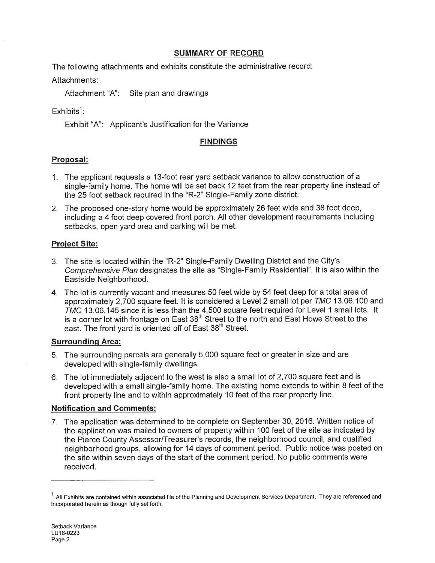## **SUMMARY OF RECORD**

The following attachments and exhibits constitute the administrative record:

# Attachments:

Attachment "A": Site plan and drawings

# $Fx$ hibits<sup>1</sup>:

Exhibit "A": Applicant's Justification for the Variance

## **FINDINGS**

# Proposal:

- 1. The applicant requests a 13-foot rear yard setback variance to allow construction of a single-family home. The home will be set back 12 feet from the rear property line instead of the 25 foot setback required in the "R-2" Single-Family zone district.
- 2. The proposed one-story home would be approximately 26 feet wide and 38 feet deep, including a 4 foot deep covered front porch. All other development requirements including setbacks, open yard area and parking will be met.

## **Project Site:**

- 3. The site is located within the "R-2" Single-Family Dwelling District and the City's Comprehensive Plan designates the site as "Single-Family Residential". It is also within the Eastside Neighborhood.
- 4. The lot is currently vacant and measures 50 feet wide by 54 feet deep for a total area of approximately 2,700 square feet. It is considered a Level 2 small lot per TMC 13.06.100 and TMC 13.06.145 since it is less than the 4,500 square feet required for Level 1 small lots. It is a corner lot with frontage on East 38<sup>th</sup> Street to the north and East Howe Street to the east. The front yard is oriented off of East 38<sup>th</sup> Street.

## **Surrounding Area:**

- 5. The surrounding parcels are generally 5,000 square feet or greater in size and are developed with single-family dwellings.
- 6. The lot immediately adjacent to the west is also a small lot of 2,700 square feet and is developed with a small single-family home. The existing home extends to within 8 feet of the front property line and to within approximately 10 feet of the rear property line.

## **Notification and Comments:**

7. The application was determined to be complete on September 30, 2016. Written notice of the application was mailed to owners of property within 100 feet of the site as indicated by the Pierce County Assessor/Treasurer's records, the neighborhood council, and qualified neighborhood groups, allowing for 14 days of comment period. Public notice was posted on the site within seven days of the start of the comment period. No public comments were received.

 $<sup>1</sup>$  All Exhibits are contained within associated file of the Planning and Development Services Department. They are referenced and</sup> incorporated herein as though fully set forth.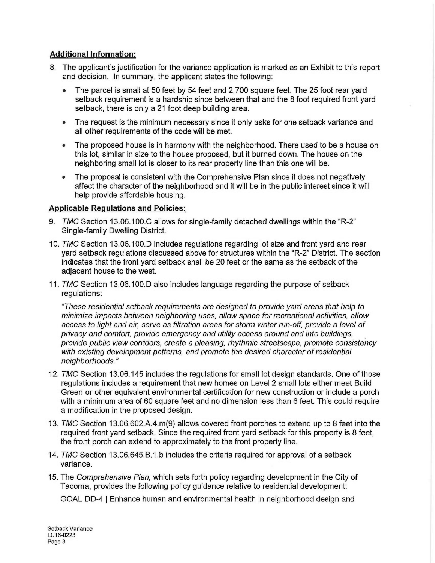## **Additional Information:**

- 8. The applicant's justification for the variance application is marked as an Exhibit to this report and decision. In summary, the applicant states the following:
	- The parcel is small at 50 feet by 54 feet and 2,700 square feet. The 25 foot rear yard setback requirement is a hardship since between that and the 8 foot required front yard setback, there is only a 21 foot deep building area.
	- The request is the minimum necessary since it only asks for one setback variance and  $\bullet$ all other requirements of the code will be met.
	- The proposed house is in harmony with the neighborhood. There used to be a house on this lot, similar in size to the house proposed, but it burned down. The house on the neighboring small lot is closer to its rear property line than this one will be.
	- The proposal is consistent with the Comprehensive Plan since it does not negatively  $\bullet$ affect the character of the neighborhood and it will be in the public interest since it will help provide affordable housing.

## **Applicable Regulations and Policies:**

- 9. TMC Section 13.06.100.C allows for single-family detached dwellings within the "R-2" Single-family Dwelling District.
- 10. TMC Section 13.06.100.D includes regulations regarding lot size and front yard and rear yard setback regulations discussed above for structures within the "R-2" District. The section indicates that the front yard setback shall be 20 feet or the same as the setback of the adiacent house to the west.
- 11. TMC Section 13.06.100.D also includes language regarding the purpose of setback regulations:

"These residential setback requirements are designed to provide yard areas that help to minimize impacts between neighboring uses, allow space for recreational activities, allow access to light and air, serve as filtration areas for storm water run-off, provide a level of privacy and comfort, provide emergency and utility access around and into buildings, provide public view corridors, create a pleasing, rhythmic streetscape, promote consistency with existing development patterns, and promote the desired character of residential neighborhoods."

- 12. TMC Section 13.06.145 includes the regulations for small lot design standards. One of those regulations includes a requirement that new homes on Level 2 small lots either meet Build Green or other equivalent environmental certification for new construction or include a porch with a minimum area of 60 square feet and no dimension less than 6 feet. This could require a modification in the proposed design.
- 13. TMC Section 13.06.602.A.4.m(9) allows covered front porches to extend up to 8 feet into the required front yard setback. Since the required front yard setback for this property is 8 feet, the front porch can extend to approximately to the front property line.
- 14. TMC Section 13.06.645.B.1.b includes the criteria required for approval of a setback variance.
- 15. The Comprehensive Plan, which sets forth policy regarding development in the City of Tacoma, provides the following policy guidance relative to residential development:

GOAL DD-4 | Enhance human and environmental health in neighborhood design and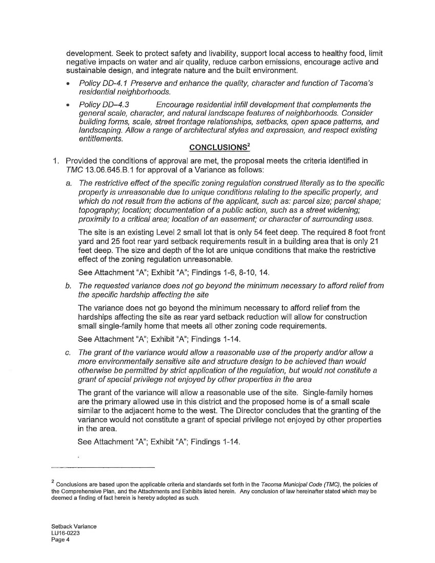development. Seek to protect safety and livability, support local access to healthy food, limit negative impacts on water and air quality, reduce carbon emissions, encourage active and sustainable design, and integrate nature and the built environment.

- Policy DD-4.1 Preserve and enhance the quality, character and function of Tacoma's residential neighborhoods.
- Policy DD-4.3 Encourage residential infill development that complements the  $\bullet$ general scale, character, and natural landscape features of neighborhoods. Consider building forms, scale, street frontage relationships, setbacks, open space patterns, and landscaping. Allow a range of architectural styles and expression, and respect existing entitlements.

## **CONCLUSIONS<sup>2</sup>**

- 1. Provided the conditions of approval are met, the proposal meets the criteria identified in TMC 13.06.645.B.1 for approval of a Variance as follows:
	- a. The restrictive effect of the specific zoning regulation construed literally as to the specific property is unreasonable due to unique conditions relating to the specific property, and which do not result from the actions of the applicant, such as: parcel size; parcel shape; topography; location; documentation of a public action, such as a street widening; proximity to a critical area; location of an easement; or character of surrounding uses.

The site is an existing Level 2 small lot that is only 54 feet deep. The required 8 foot front yard and 25 foot rear yard setback requirements result in a building area that is only 21 feet deep. The size and depth of the lot are unique conditions that make the restrictive effect of the zoning regulation unreasonable.

See Attachment "A"; Exhibit "A"; Findings 1-6, 8-10, 14.

b. The requested variance does not go beyond the minimum necessary to afford relief from the specific hardship affecting the site

The variance does not go beyond the minimum necessary to afford relief from the hardships affecting the site as rear yard setback reduction will allow for construction small single-family home that meets all other zoning code requirements.

See Attachment "A"; Exhibit "A"; Findings 1-14.

The grant of the variance would allow a reasonable use of the property and/or allow a  $\mathcal{C}$ . more environmentally sensitive site and structure design to be achieved than would otherwise be permitted by strict application of the regulation, but would not constitute a grant of special privilege not enjoyed by other properties in the area

The grant of the variance will allow a reasonable use of the site. Single-family homes are the primary allowed use in this district and the proposed home is of a small scale similar to the adjacent home to the west. The Director concludes that the granting of the variance would not constitute a grant of special privilege not enjoyed by other properties in the area.

See Attachment "A"; Exhibit "A"; Findings 1-14.

 $^2$  Conclusions are based upon the applicable criteria and standards set forth in the Tacoma Municipal Code (TMC), the policies of the Comprehensive Plan, and the Attachments and Exhibits listed herein. Any conclusion of law hereinafter stated which may be deemed a finding of fact herein is hereby adopted as such.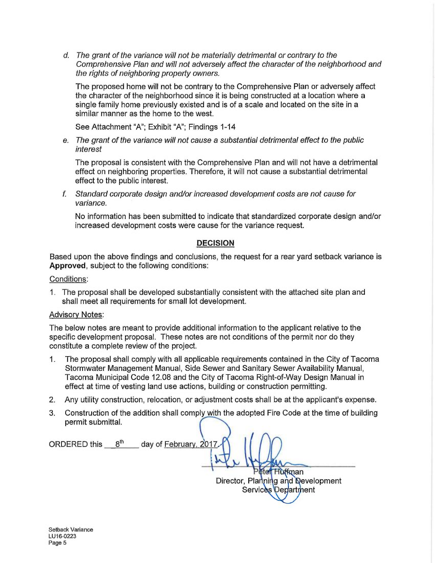d. The grant of the variance will not be materially detrimental or contrary to the Comprehensive Plan and will not adversely affect the character of the neighborhood and the rights of neighboring property owners.

The proposed home will not be contrary to the Comprehensive Plan or adversely affect the character of the neighborhood since it is being constructed at a location where a single family home previously existed and is of a scale and located on the site in a similar manner as the home to the west.

See Attachment "A"; Exhibit "A"; Findings 1-14

e. The grant of the variance will not cause a substantial detrimental effect to the public interest

The proposal is consistent with the Comprehensive Plan and will not have a detrimental effect on neighboring properties. Therefore, it will not cause a substantial detrimental effect to the public interest.

f. Standard corporate design and/or increased development costs are not cause for variance.

No information has been submitted to indicate that standardized corporate design and/or increased development costs were cause for the variance request.

#### **DECISION**

Based upon the above findings and conclusions, the request for a rear yard setback variance is Approved, subject to the following conditions:

#### Conditions:

1. The proposal shall be developed substantially consistent with the attached site plan and shall meet all requirements for small lot development.

#### **Advisory Notes:**

The below notes are meant to provide additional information to the applicant relative to the specific development proposal. These notes are not conditions of the permit nor do they constitute a complete review of the project.

- The proposal shall comply with all applicable requirements contained in the City of Tacoma  $1.$ Stormwater Management Manual, Side Sewer and Sanitary Sewer Availability Manual, Tacoma Municipal Code 12.08 and the City of Tacoma Right-of-Way Design Manual in effect at time of vesting land use actions, building or construction permitting.
- 2. Any utility construction, relocation, or adjustment costs shall be at the applicant's expense.
- 3. Construction of the addition shall comply with the adopted Fire Code at the time of building permit submittal.

ORDERED this 8<sup>th</sup> day of February, 2017 eter Huffman Director, Planning and Development Services Department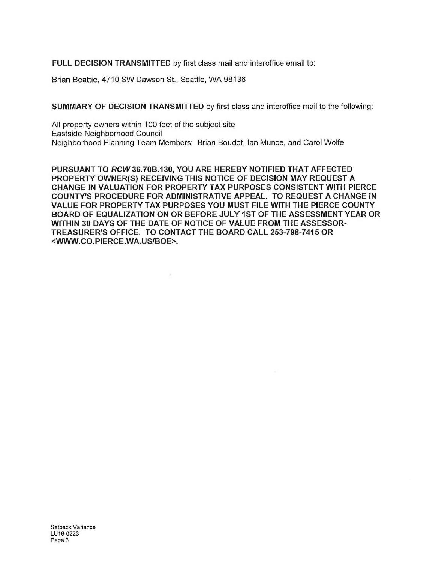FULL DECISION TRANSMITTED by first class mail and interoffice email to:

Brian Beattie, 4710 SW Dawson St., Seattle, WA 98136

**SUMMARY OF DECISION TRANSMITTED by first class and interoffice mail to the following:** 

All property owners within 100 feet of the subject site Eastside Neighborhood Council Neighborhood Planning Team Members: Brian Boudet, Ian Munce, and Carol Wolfe

PURSUANT TO RCW 36.70B.130, YOU ARE HEREBY NOTIFIED THAT AFFECTED PROPERTY OWNER(S) RECEIVING THIS NOTICE OF DECISION MAY REQUEST A CHANGE IN VALUATION FOR PROPERTY TAX PURPOSES CONSISTENT WITH PIERCE COUNTY'S PROCEDURE FOR ADMINISTRATIVE APPEAL. TO REQUEST A CHANGE IN VALUE FOR PROPERTY TAX PURPOSES YOU MUST FILE WITH THE PIERCE COUNTY BOARD OF EQUALIZATION ON OR BEFORE JULY 1ST OF THE ASSESSMENT YEAR OR WITHIN 30 DAYS OF THE DATE OF NOTICE OF VALUE FROM THE ASSESSOR-TREASURER'S OFFICE. TO CONTACT THE BOARD CALL 253-798-7415 OR <WWW.CO.PIERCE.WA.US/BOE>.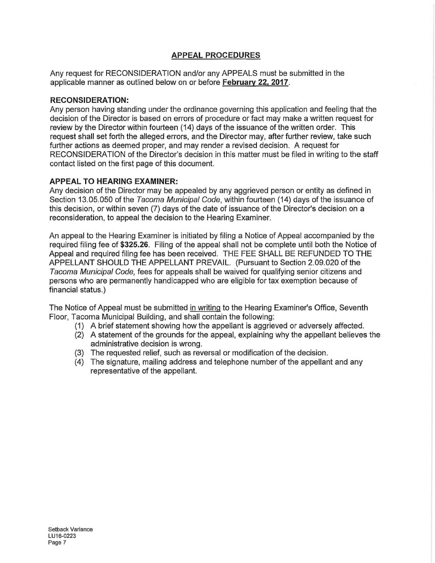# **APPEAL PROCEDURES**

Any request for RECONSIDERATION and/or any APPEALS must be submitted in the applicable manner as outlined below on or before February 22, 2017.

## **RECONSIDERATION:**

Any person having standing under the ordinance governing this application and feeling that the decision of the Director is based on errors of procedure or fact may make a written request for review by the Director within fourteen (14) days of the issuance of the written order. This request shall set forth the alleged errors, and the Director may, after further review, take such further actions as deemed proper, and may render a revised decision. A request for RECONSIDERATION of the Director's decision in this matter must be filed in writing to the staff contact listed on the first page of this document.

## **APPEAL TO HEARING EXAMINER:**

Any decision of the Director may be appealed by any aggrieved person or entity as defined in Section 13.05.050 of the Tacoma Municipal Code, within fourteen (14) days of the issuance of this decision, or within seven (7) days of the date of issuance of the Director's decision on a reconsideration, to appeal the decision to the Hearing Examiner.

An appeal to the Hearing Examiner is initiated by filing a Notice of Appeal accompanied by the required filing fee of \$325.26. Filing of the appeal shall not be complete until both the Notice of Appeal and required filing fee has been received. THE FEE SHALL BE REFUNDED TO THE APPELLANT SHOULD THE APPELLANT PREVAIL. (Pursuant to Section 2.09.020 of the Tacoma Municipal Code, fees for appeals shall be waived for qualifying senior citizens and persons who are permanently handicapped who are eligible for tax exemption because of financial status.)

The Notice of Appeal must be submitted in writing to the Hearing Examiner's Office, Seventh Floor, Tacoma Municipal Building, and shall contain the following:

- (1) A brief statement showing how the appellant is aggrieved or adversely affected.
- (2) A statement of the grounds for the appeal, explaining why the appellant believes the administrative decision is wrong.
- (3) The requested relief, such as reversal or modification of the decision.
- (4) The signature, mailing address and telephone number of the appellant and any representative of the appellant.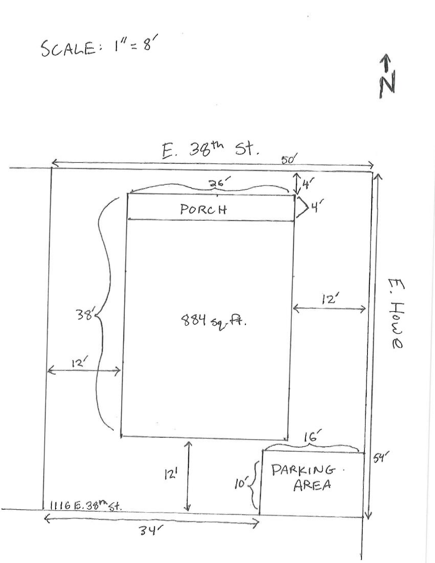$SCALE: 1''=8'$ 



 $\frac{1}{N}$